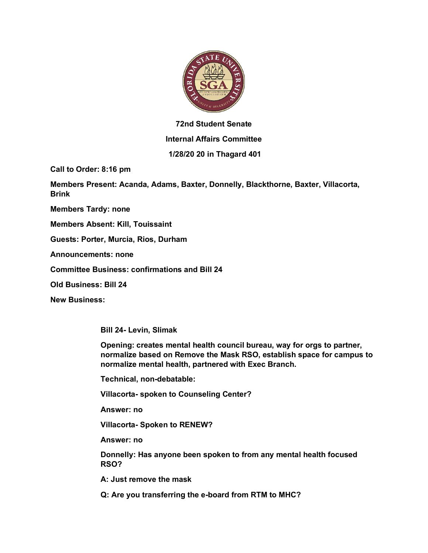

## **72nd Student Senate Internal Affairs Committee**

## **1/28/20 20 in Thagard 401**

**Call to Order: 8:16 pm** 

**Members Present: Acanda, Adams, Baxter, Donnelly, Blackthorne, Baxter, Villacorta, Brink**

**Members Tardy: none**

**Members Absent: Kill, Touissaint**

**Guests: Porter, Murcia, Rios, Durham**

**Announcements: none**

**Committee Business: confirmations and Bill 24**

**Old Business: Bill 24**

**New Business:**

**Bill 24- Levin, Slimak**

**Opening: creates mental health council bureau, way for orgs to partner, normalize based on Remove the Mask RSO, establish space for campus to normalize mental health, partnered with Exec Branch.**

**Technical, non-debatable:**

**Villacorta- spoken to Counseling Center?** 

**Answer: no**

**Villacorta- Spoken to RENEW?**

**Answer: no**

**Donnelly: Has anyone been spoken to from any mental health focused RSO?**

**A: Just remove the mask**

**Q: Are you transferring the e-board from RTM to MHC?**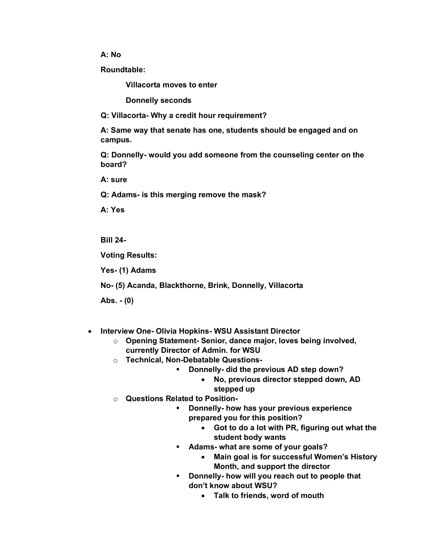## **A: No**

**Roundtable:**

**Villacorta moves to enter** 

**Donnelly seconds**

**Q: Villacorta- Why a credit hour requirement?** 

**A: Same way that senate has one, students should be engaged and on campus.**

**Q: Donnelly- would you add someone from the counseling center on the board?**

**A: sure** 

**Q: Adams- is this merging remove the mask?**

**A: Yes**

**Bill 24-**

**Voting Results:** 

**Yes- (1) Adams**

**No- (5) Acanda, Blackthorne, Brink, Donnelly, Villacorta**

**Abs. - (0)**

- **Interview One- Olivia Hopkins- WSU Assistant Director**
	- o **Opening Statement- Senior, dance major, loves being involved, currently Director of Admin. for WSU**
	- o **Technical, Non-Debatable Questions-**
		- § **Donnelly- did the previous AD step down?**
			- **No, previous director stepped down, AD stepped up**
	- o **Questions Related to Position-**
		- § **Donnelly- how has your previous experience prepared you for this position?**
			- **Got to do a lot with PR, figuring out what the student body wants**
		- § **Adams- what are some of your goals?**
			- **Main goal is for successful Women's History Month, and support the director**
		- § **Donnelly- how will you reach out to people that don't know about WSU?**
			- **Talk to friends, word of mouth**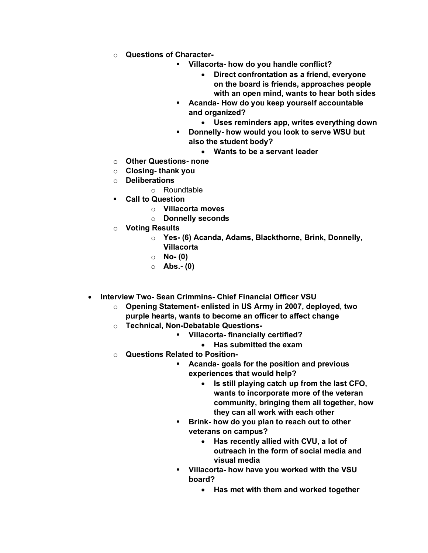- o **Questions of Character-**
	- § **Villacorta- how do you handle conflict?**
		- **Direct confrontation as a friend, everyone on the board is friends, approaches people with an open mind, wants to hear both sides**
	- § **Acanda- How do you keep yourself accountable and organized?**
		- **Uses reminders app, writes everything down**
	- § **Donnelly- how would you look to serve WSU but also the student body?**
		- **Wants to be a servant leader**
- o **Other Questions- none**
- o **Closing- thank you**
- o **Deliberations**
	- o Roundtable
- § **Call to Question**
	- o **Villacorta moves**
	- o **Donnelly seconds**
- o **Voting Results**
	- o **Yes- (6) Acanda, Adams, Blackthorne, Brink, Donnelly, Villacorta**
	- o **No- (0)**
	- o **Abs.- (0)**
- **Interview Two- Sean Crimmins- Chief Financial Officer VSU**
	- o **Opening Statement- enlisted in US Army in 2007, deployed, two purple hearts, wants to become an officer to affect change**
	- o **Technical, Non-Debatable Questions-**
		- § **Villacorta- financially certified?**
			- **Has submitted the exam**
	- o **Questions Related to Position-**
		- § **Acanda- goals for the position and previous experiences that would help?**
			- **Is still playing catch up from the last CFO, wants to incorporate more of the veteran community, bringing them all together, how they can all work with each other**
		- § **Brink- how do you plan to reach out to other veterans on campus?**
			- **Has recently allied with CVU, a lot of outreach in the form of social media and visual media**
		- § **Villacorta- how have you worked with the VSU board?**
			- **Has met with them and worked together**